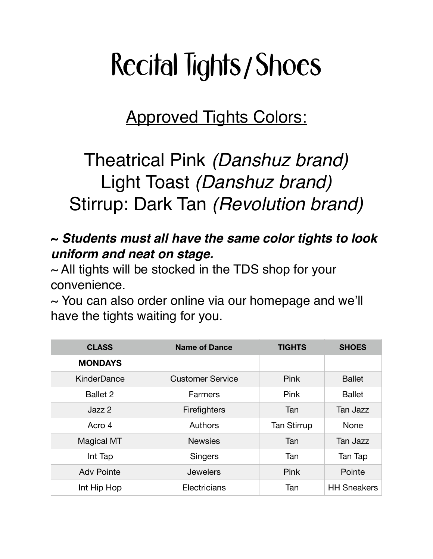## Recital Tights**/**Shoes

Approved Tights Colors:

## Theatrical Pink *(Danshuz brand)* Light Toast *(Danshuz brand)* Stirrup: Dark Tan *(Revolution brand)*

## **~** *Students must all have the same color tights to look uniform and neat on stage.*

 $\sim$  All tights will be stocked in the TDS shop for your convenience.

 $\sim$  You can also order online via our homepage and we'll have the tights waiting for you.

| <b>CLASS</b>      | <b>Name of Dance</b>    | <b>TIGHTS</b>      | <b>SHOES</b>       |
|-------------------|-------------------------|--------------------|--------------------|
| <b>MONDAYS</b>    |                         |                    |                    |
| KinderDance       | <b>Customer Service</b> | Pink               | <b>Ballet</b>      |
| <b>Ballet 2</b>   | Farmers                 | Pink               | <b>Ballet</b>      |
| Jazz 2            | Firefighters            | Tan                | Tan Jazz           |
| Acro 4            | Authors                 | <b>Tan Stirrup</b> | None               |
| <b>Magical MT</b> | <b>Newsies</b>          | Tan                | Tan Jazz           |
| Int Tap           | <b>Singers</b>          | Tan                | Tan Tap            |
| <b>Adv Pointe</b> | <b>Jewelers</b>         | <b>Pink</b>        | Pointe             |
| Int Hip Hop       | Electricians            | Tan                | <b>HH Sneakers</b> |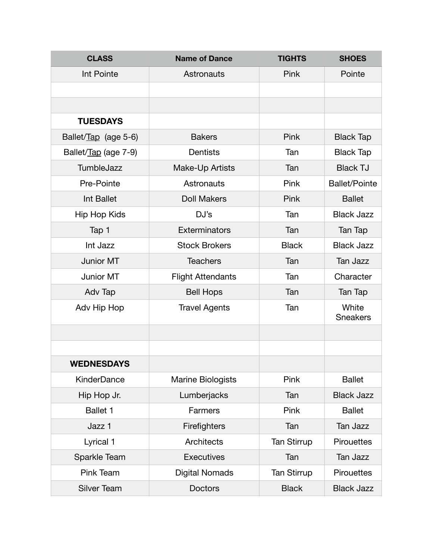| <b>CLASS</b>         | <b>Name of Dance</b>     | <b>TIGHTS</b>      | <b>SHOES</b>             |
|----------------------|--------------------------|--------------------|--------------------------|
| Int Pointe           | Astronauts               | Pink               | Pointe                   |
|                      |                          |                    |                          |
|                      |                          |                    |                          |
| <b>TUESDAYS</b>      |                          |                    |                          |
| Ballet/Tap (age 5-6) | <b>Bakers</b>            | Pink               | <b>Black Tap</b>         |
| Ballet/Tap (age 7-9) | <b>Dentists</b>          | Tan                | <b>Black Tap</b>         |
| TumbleJazz           | Make-Up Artists          | Tan                | <b>Black TJ</b>          |
| Pre-Pointe           | Astronauts               | Pink               | <b>Ballet/Pointe</b>     |
| Int Ballet           | <b>Doll Makers</b>       | Pink               | <b>Ballet</b>            |
| <b>Hip Hop Kids</b>  | DJ's                     | Tan                | <b>Black Jazz</b>        |
| Tap 1                | Exterminators            | Tan                | Tan Tap                  |
| Int Jazz             | <b>Stock Brokers</b>     | <b>Black</b>       | <b>Black Jazz</b>        |
| Junior MT            | <b>Teachers</b>          | Tan                | <b>Tan Jazz</b>          |
| <b>Junior MT</b>     | <b>Flight Attendants</b> | Tan                | Character                |
| Adv Tap              | <b>Bell Hops</b>         | Tan                | Tan Tap                  |
| Adv Hip Hop          | <b>Travel Agents</b>     | Tan                | White<br><b>Sneakers</b> |
|                      |                          |                    |                          |
|                      |                          |                    |                          |
| <b>WEDNESDAYS</b>    |                          |                    |                          |
| <b>KinderDance</b>   | <b>Marine Biologists</b> | Pink               | <b>Ballet</b>            |
| Hip Hop Jr.          | Lumberjacks              | Tan                | <b>Black Jazz</b>        |
| Ballet 1             | Farmers                  | Pink               | <b>Ballet</b>            |
| Jazz 1               | Firefighters             | Tan                | Tan Jazz                 |
| Lyrical 1            | Architects               | <b>Tan Stirrup</b> | <b>Pirouettes</b>        |
| Sparkle Team         | <b>Executives</b>        | Tan                | Tan Jazz                 |
| Pink Team            | <b>Digital Nomads</b>    | <b>Tan Stirrup</b> | <b>Pirouettes</b>        |
| <b>Silver Team</b>   | Doctors                  | <b>Black</b>       | <b>Black Jazz</b>        |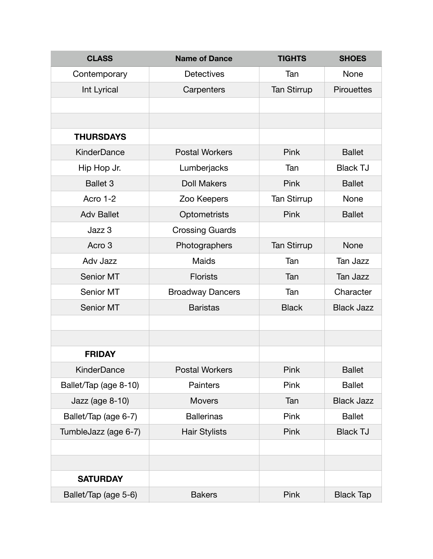| <b>CLASS</b>          | <b>Name of Dance</b>    | <b>TIGHTS</b>      | <b>SHOES</b>      |
|-----------------------|-------------------------|--------------------|-------------------|
| Contemporary          | <b>Detectives</b>       | Tan                | None              |
| Int Lyrical           | Carpenters              | <b>Tan Stirrup</b> | <b>Pirouettes</b> |
|                       |                         |                    |                   |
|                       |                         |                    |                   |
| <b>THURSDAYS</b>      |                         |                    |                   |
| <b>KinderDance</b>    | <b>Postal Workers</b>   | Pink               | <b>Ballet</b>     |
| Hip Hop Jr.           | Lumberjacks             | Tan                | <b>Black TJ</b>   |
| <b>Ballet 3</b>       | <b>Doll Makers</b>      | Pink               | <b>Ballet</b>     |
| Acro 1-2              | Zoo Keepers             | <b>Tan Stirrup</b> | None              |
| <b>Adv Ballet</b>     | Optometrists            | Pink               | <b>Ballet</b>     |
| Jazz 3                | <b>Crossing Guards</b>  |                    |                   |
| Acro 3                | Photographers           | <b>Tan Stirrup</b> | None              |
| Adv Jazz              | <b>Maids</b>            | Tan                | Tan Jazz          |
| Senior MT             | <b>Florists</b>         | Tan                | Tan Jazz          |
| Senior MT             | <b>Broadway Dancers</b> | Tan                | Character         |
| Senior MT             | <b>Baristas</b>         | <b>Black</b>       | <b>Black Jazz</b> |
|                       |                         |                    |                   |
|                       |                         |                    |                   |
| <b>FRIDAY</b>         |                         |                    |                   |
| KinderDance           | <b>Postal Workers</b>   | Pink               | <b>Ballet</b>     |
| Ballet/Tap (age 8-10) | <b>Painters</b>         | Pink               | <b>Ballet</b>     |
| Jazz (age 8-10)       | <b>Movers</b>           | Tan                | <b>Black Jazz</b> |
| Ballet/Tap (age 6-7)  | <b>Ballerinas</b>       | Pink               | <b>Ballet</b>     |
| TumbleJazz (age 6-7)  | <b>Hair Stylists</b>    | Pink               | <b>Black TJ</b>   |
|                       |                         |                    |                   |
|                       |                         |                    |                   |
| <b>SATURDAY</b>       |                         |                    |                   |
| Ballet/Tap (age 5-6)  | <b>Bakers</b>           | Pink               | <b>Black Tap</b>  |